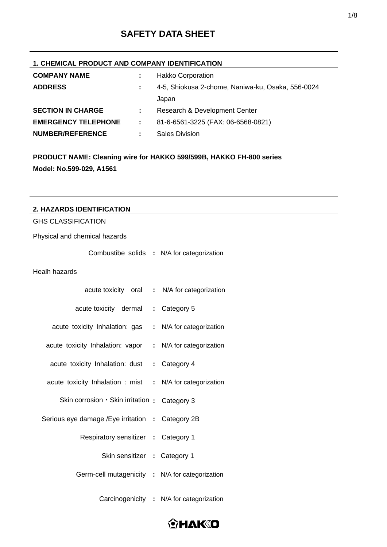# **SAFETY DATA SHEET**

### **1. CHEMICAL PRODUCT AND COMPANY IDENTIFICATION**

| <b>COMPANY NAME</b>        |               | <b>Hakko Corporation</b>                          |
|----------------------------|---------------|---------------------------------------------------|
| <b>ADDRESS</b>             |               | 4-5, Shiokusa 2-chome, Naniwa-ku, Osaka, 556-0024 |
|                            |               | Japan                                             |
| <b>SECTION IN CHARGE</b>   |               | Research & Development Center                     |
| <b>EMERGENCY TELEPHONE</b> | $\mathcal{L}$ | 81-6-6561-3225 (FAX: 06-6568-0821)                |
| <b>NUMBER/REFERENCE</b>    |               | <b>Sales Division</b>                             |

**PRODUCT NAME: Cleaning wire for HAKKO 599/599B, HAKKO FH-800 series Model: No.599-029, A1561** 

| 2. HAZARDS IDENTIFICATION                         |                                          |
|---------------------------------------------------|------------------------------------------|
| <b>GHS CLASSIFICATION</b>                         |                                          |
| Physical and chemical hazards                     |                                          |
| Combustibe solids : N/A for categorization        |                                          |
| Healh hazards                                     |                                          |
| acute toxicity oral : N/A for categorization      |                                          |
| acute toxicity dermal                             | : Category 5                             |
| acute toxicity Inhalation: gas                    | : N/A for categorization                 |
| acute toxicity Inhalation: vapor                  | : N/A for categorization                 |
| acute toxicity Inhalation: dust                   | : Category 4                             |
| acute toxicity Inhalation : mist                  | : N/A for categorization                 |
| Skin corrosion · Skin irritation :                | Category 3                               |
| Serious eye damage / Eye irritation : Category 2B |                                          |
| Respiratory sensitizer : Category 1               |                                          |
| Skin sensitizer : Category 1                      |                                          |
| Germ-cell mutagenicity : N/A for categorization   |                                          |
|                                                   | Carcinogenicity : N/A for categorization |

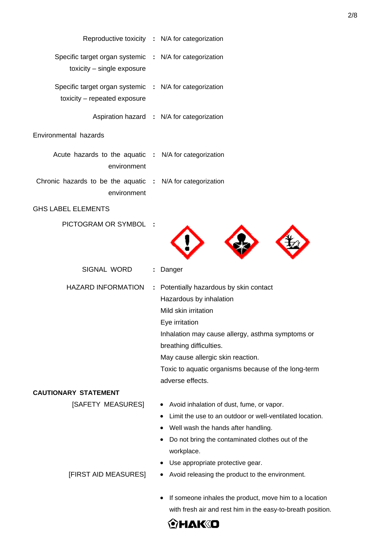| Reproductive toxicity : N/A for categorization                                          |    |                                                                                                                                                                                                                                                                                                             |
|-----------------------------------------------------------------------------------------|----|-------------------------------------------------------------------------------------------------------------------------------------------------------------------------------------------------------------------------------------------------------------------------------------------------------------|
| Specific target organ systemic : N/A for categorization<br>toxicity - single exposure   |    |                                                                                                                                                                                                                                                                                                             |
| Specific target organ systemic : N/A for categorization<br>toxicity - repeated exposure |    |                                                                                                                                                                                                                                                                                                             |
|                                                                                         |    | Aspiration hazard : N/A for categorization                                                                                                                                                                                                                                                                  |
| Environmental hazards                                                                   |    |                                                                                                                                                                                                                                                                                                             |
| Acute hazards to the aquatic : N/A for categorization<br>environment                    |    |                                                                                                                                                                                                                                                                                                             |
| Chronic hazards to be the aquatic : N/A for categorization<br>environment               |    |                                                                                                                                                                                                                                                                                                             |
| <b>GHS LABEL ELEMENTS</b>                                                               |    |                                                                                                                                                                                                                                                                                                             |
| PICTOGRAM OR SYMBOL :                                                                   |    |                                                                                                                                                                                                                                                                                                             |
| SIGNAL WORD                                                                             | ÷. | Danger                                                                                                                                                                                                                                                                                                      |
| <b>HAZARD INFORMATION</b>                                                               |    | : Potentially hazardous by skin contact<br>Hazardous by inhalation<br>Mild skin irritation<br>Eye irritation<br>Inhalation may cause allergy, asthma symptoms or<br>breathing difficulties.<br>May cause allergic skin reaction.<br>Toxic to aquatic organisms because of the long-term<br>adverse effects. |
| <b>CAUTIONARY STATEMENT</b>                                                             |    |                                                                                                                                                                                                                                                                                                             |
| [SAFETY MEASURES]                                                                       |    | • Avoid inhalation of dust, fume, or vapor.<br>Limit the use to an outdoor or well-ventilated location.<br>Well wash the hands after handling.<br>Do not bring the contaminated clothes out of the<br>workplace.                                                                                            |

Use appropriate protective gear.

Avoid releasing the product to the environment.

 If someone inhales the product, move him to a location with fresh air and rest him in the easy-to-breath position.



[FIRST AID MEASURES]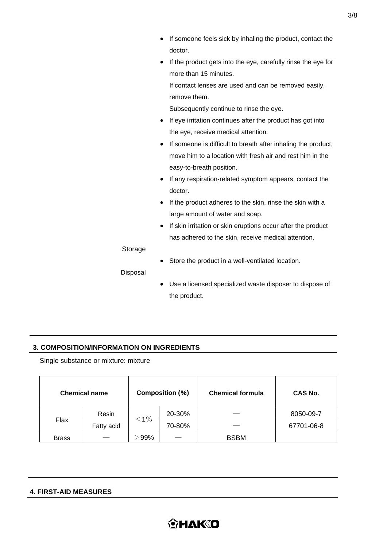|          | If someone feels sick by inhaling the product, contact the                           |
|----------|--------------------------------------------------------------------------------------|
|          | doctor.                                                                              |
|          | If the product gets into the eye, carefully rinse the eye for<br>٠                   |
|          | more than 15 minutes.                                                                |
|          | If contact lenses are used and can be removed easily,                                |
|          | remove them.                                                                         |
|          | Subsequently continue to rinse the eye.                                              |
|          | If eye irritation continues after the product has got into<br>٠                      |
|          | the eye, receive medical attention.                                                  |
|          | If someone is difficult to breath after inhaling the product,<br>$\bullet$           |
|          | move him to a location with fresh air and rest him in the                            |
|          | easy-to-breath position.                                                             |
|          | If any respiration-related symptom appears, contact the<br>$\bullet$                 |
|          | doctor.                                                                              |
|          | If the product adheres to the skin, rinse the skin with a                            |
|          | large amount of water and soap.                                                      |
|          | If skin irritation or skin eruptions occur after the product<br>$\bullet$            |
|          | has adhered to the skin, receive medical attention.                                  |
| Storage  |                                                                                      |
|          | Store the product in a well-ventilated location.                                     |
| Disposal |                                                                                      |
|          | والمستعاد والمستحلف والمتحدود والمتحال والمتحدد والمستحدث والمستحدث والمستحل المستحل |

 Use a licensed specialized waste disposer to dispose of the product.

# **3. COMPOSITION/INFORMATION ON INGREDIENTS**

Single substance or mixture: mixture

|              | <b>Chemical name</b> |         | <b>Composition (%)</b> | <b>Chemical formula</b> | <b>CAS No.</b> |  |
|--------------|----------------------|---------|------------------------|-------------------------|----------------|--|
|              | Resin                |         | 20-30%                 |                         | 8050-09-7      |  |
| Flax         | Fatty acid           | $<$ 1%  | 70-80%                 |                         | 67701-06-8     |  |
| <b>Brass</b> |                      | $-99\%$ |                        | <b>BSBM</b>             |                |  |

#### **4. FIRST-AID MEASURES**

# **OHAKID**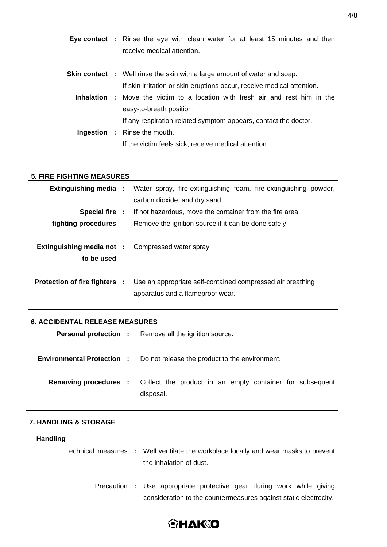|  | <b>Eye contact</b> : Rinse the eye with clean water for at least 15 minutes and then |
|--|--------------------------------------------------------------------------------------|
|  | receive medical attention.                                                           |
|  |                                                                                      |
|  | <b>Skin contact</b> : Well rinse the skin with a large amount of water and soap.     |
|  | If skin irritation or skin eruptions occur, receive medical attention.               |
|  | <b>Inhalation</b> : Move the victim to a location with fresh air and rest him in the |
|  | easy-to-breath position.                                                             |
|  | If any respiration-related symptom appears, contact the doctor.                      |
|  | <b>Ingestion :</b> Rinse the mouth.                                                  |
|  | If the victim feels sick, receive medical attention.                                 |
|  |                                                                                      |

# **5. FIRE FIGHTING MEASURES**

|                                                                       | <b>Extinguishing media :</b> Water spray, fire-extinguishing foam, fire-extinguishing powder,<br>carbon dioxide, and dry sand       |
|-----------------------------------------------------------------------|-------------------------------------------------------------------------------------------------------------------------------------|
|                                                                       | <b>Special fire :</b> If not hazardous, move the container from the fire area.                                                      |
| fighting procedures                                                   | Remove the ignition source if it can be done safely.                                                                                |
| <b>Extinguishing media not :</b> Compressed water spray<br>to be used |                                                                                                                                     |
|                                                                       | <b>Protection of fire fighters :</b> Use an appropriate self-contained compressed air breathing<br>apparatus and a flameproof wear. |

#### **6. ACCIDENTAL RELEASE MEASURES**

|  | <b>Personal protection :</b> Remove all the ignition source.                                       |
|--|----------------------------------------------------------------------------------------------------|
|  | <b>Environmental Protection :</b> Do not release the product to the environment.                   |
|  | <b>Removing procedures :</b> Collect the product in an empty container for subsequent<br>disposal. |

#### **7. HANDLING & STORAGE**

### **Handling**

Technical measures **:** Well ventilate the workplace locally and wear masks to prevent the inhalation of dust.

> Precaution **:** Use appropriate protective gear during work while giving consideration to the countermeasures against static electrocity.

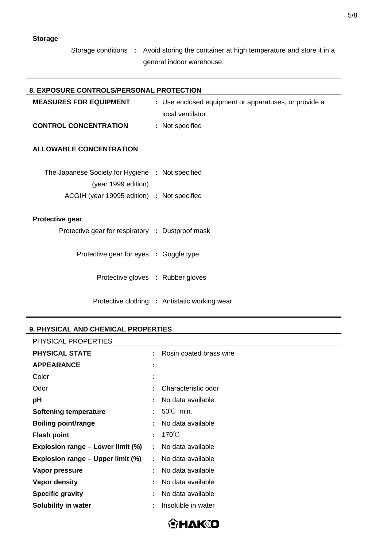Storage conditions **:** Avoid storing the container at high temperature and store it in a general indoor warehouse.

| <b>8. EXPOSURE CONTROLS/PERSONAL PROTECTION</b>  |                                                       |
|--------------------------------------------------|-------------------------------------------------------|
| <b>MEASURES FOR EQUIPMENT</b>                    | : Use enclosed equipment or apparatuses, or provide a |
|                                                  | local ventilator.                                     |
| <b>CONTROL CONCENTRATION</b>                     | : Not specified                                       |
|                                                  |                                                       |
| <b>ALLOWABLE CONCENTRATION</b>                   |                                                       |
|                                                  |                                                       |
| The Japanese Society for Hygiene : Not specified |                                                       |
| (year 1999 edition)                              |                                                       |
| ACGIH (year 19995 edition) : Not specified       |                                                       |
| <b>Protective gear</b>                           |                                                       |
|                                                  |                                                       |
| Protective gear for respiratory : Dustproof mask |                                                       |
| Protective gear for eyes : Goggle type           |                                                       |
|                                                  |                                                       |
| Protective gloves : Rubber gloves                |                                                       |
|                                                  |                                                       |
|                                                  | Protective clothing : Antistatic working wear         |
|                                                  |                                                       |

#### **9. PHYSICAL AND CHEMICAL PROPERTIES**

| PHYSICAL PROPERTIES               |    |                         |
|-----------------------------------|----|-------------------------|
| <b>PHYSICAL STATE</b>             | ÷. | Rosin coated brass wire |
| <b>APPEARANCE</b>                 | ٠  |                         |
| Color                             | ٠  |                         |
| Odor                              |    | Characteristic odor     |
| рH                                |    | No data available       |
| <b>Softening temperature</b>      |    | $50^{\circ}$ C min.     |
| <b>Boiling point/range</b>        |    | No data available       |
| <b>Flash point</b>                | ٠  | $170^{\circ}$ C         |
| Explosion range – Lower limit (%) |    | No data available       |
| Explosion range – Upper limit (%) | ÷. | No data available       |
| Vapor pressure                    |    | No data available       |
| Vapor density                     |    | No data available       |
| <b>Specific gravity</b>           |    | No data available       |
| <b>Solubility in water</b>        |    | Insoluble in water      |



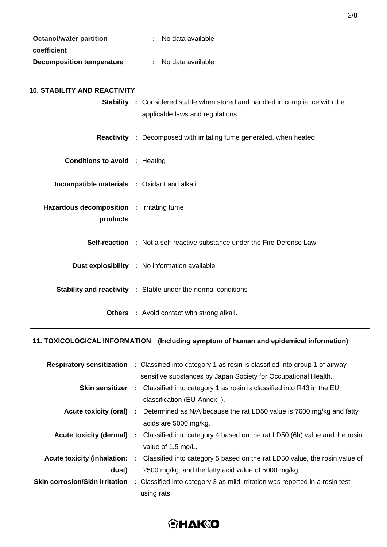| <b>Octanol/water partition</b>   | : No data available |
|----------------------------------|---------------------|
| coefficient                      |                     |
| <b>Decomposition temperature</b> | : No data available |

| <b>10. STABILITY AND REACTIVITY</b>                   |                                                                                     |                                                                                 |
|-------------------------------------------------------|-------------------------------------------------------------------------------------|---------------------------------------------------------------------------------|
|                                                       | <b>Stability</b> : Considered stable when stored and handled in compliance with the |                                                                                 |
|                                                       |                                                                                     | applicable laws and regulations.                                                |
|                                                       |                                                                                     | <b>Reactivity</b> : Decomposed with irritating fume generated, when heated.     |
| <b>Conditions to avoid : Heating</b>                  |                                                                                     |                                                                                 |
| <b>Incompatible materials : Oxidant and alkali</b>    |                                                                                     |                                                                                 |
| Hazardous decomposition : Irritating fume<br>products |                                                                                     |                                                                                 |
|                                                       |                                                                                     |                                                                                 |
|                                                       |                                                                                     | <b>Self-reaction</b> : Not a self-reactive substance under the Fire Defense Law |
|                                                       |                                                                                     | <b>Dust explosibility : No information available</b>                            |
|                                                       |                                                                                     | <b>Stability and reactivity : Stable under the normal conditions</b>            |
|                                                       |                                                                                     | <b>Others</b> : Avoid contact with strong alkali.                               |

# **11. TOXICOLOGICAL INFORMATION (Including symptom of human and epidemical information)**

|       | <b>Respiratory sensitization :</b> Classified into category 1 as rosin is classified into group 1 of airway        |
|-------|--------------------------------------------------------------------------------------------------------------------|
|       | sensitive substances by Japan Society for Occupational Health.                                                     |
|       | <b>Skin sensitizer</b> : Classified into category 1 as rosin is classified into R43 in the EU                      |
|       | classification (EU-Annex I).                                                                                       |
|       | <b>Acute toxicity (oral)</b> : Determined as N/A because the rat LD50 value is 7600 mg/kg and fatty                |
|       | acids are 5000 mg/kg.                                                                                              |
|       | Acute toxicity (dermal) : Classified into category 4 based on the rat LD50 (6h) value and the rosin                |
|       | value of 1.5 mg/L.                                                                                                 |
|       | <b>Acute toxicity (inhalation: :</b> Classified into category 5 based on the rat LD50 value, the rosin value of    |
| dust) | 2500 mg/kg, and the fatty acid value of 5000 mg/kg.                                                                |
|       | <b>Skin corrosion/Skin irritation</b> : Classified into category 3 as mild irritation was reported in a rosin test |
|       | using rats.                                                                                                        |

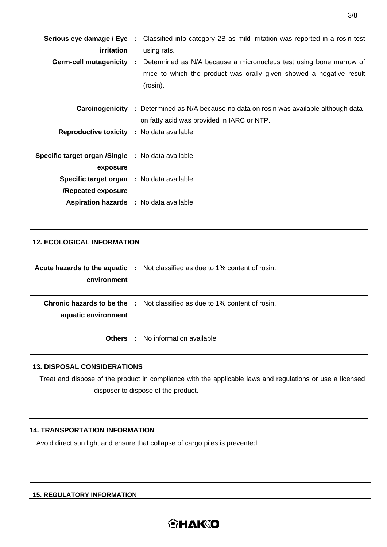|                                                   | <b>Serious eye damage / Eye</b> : Classified into category 2B as mild irritation was reported in a rosin test |
|---------------------------------------------------|---------------------------------------------------------------------------------------------------------------|
| <i>irritation</i>                                 | using rats.                                                                                                   |
|                                                   | <b>Germ-cell mutagenicity</b> : Determined as N/A because a micronucleus test using bone marrow of            |
|                                                   | mice to which the product was orally given showed a negative result                                           |
|                                                   | (rosin).                                                                                                      |
|                                                   |                                                                                                               |
|                                                   | <b>Carcinogenicity</b> : Determined as N/A because no data on rosin was available although data               |
|                                                   | on fatty acid was provided in IARC or NTP.                                                                    |
| <b>Reproductive toxicity : No data available</b>  |                                                                                                               |
|                                                   |                                                                                                               |
| Specific target organ /Single : No data available |                                                                                                               |
| exposure                                          |                                                                                                               |
| <b>Specific target organ</b> : No data available  |                                                                                                               |
| /Repeated exposure                                |                                                                                                               |
| <b>Aspiration hazards : No data available</b>     |                                                                                                               |
|                                                   |                                                                                                               |

# **12. ECOLOGICAL INFORMATION**

|                     | <b>Acute hazards to the aquatic</b> : Not classified as due to 1% content of rosin. |
|---------------------|-------------------------------------------------------------------------------------|
| environment         |                                                                                     |
|                     |                                                                                     |
|                     | <b>Chronic hazards to be the :</b> Not classified as due to 1% content of rosin.    |
| aquatic environment |                                                                                     |
|                     |                                                                                     |
|                     | <b>Others</b> : No information available                                            |

#### **13. DISPOSAL CONSIDERATIONS**

Treat and dispose of the product in compliance with the applicable laws and regulations or use a licensed disposer to dispose of the product.

# **14. TRANSPORTATION INFORMATION**

Avoid direct sun light and ensure that collapse of cargo piles is prevented.

## **15. REGULATORY INFORMATION**